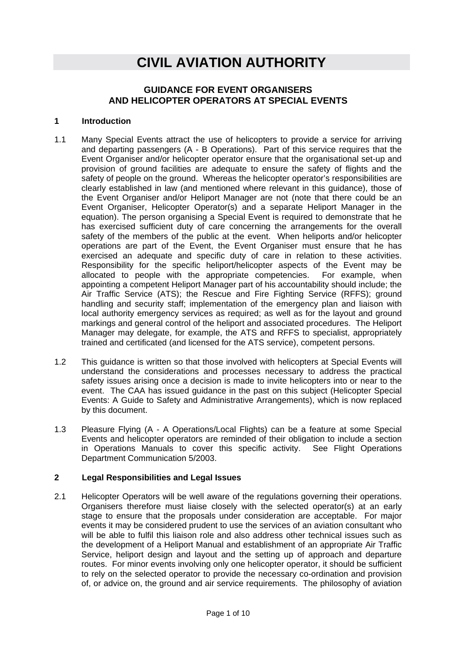# **CIVIL AVIATION AUTHORITY**

# **GUIDANCE FOR EVENT ORGANISERS AND HELICOPTER OPERATORS AT SPECIAL EVENTS**

#### **1 Introduction**

- 1.1 Many Special Events attract the use of helicopters to provide a service for arriving and departing passengers (A - B Operations). Part of this service requires that the Event Organiser and/or helicopter operator ensure that the organisational set-up and provision of ground facilities are adequate to ensure the safety of flights and the safety of people on the ground. Whereas the helicopter operator's responsibilities are clearly established in law (and mentioned where relevant in this guidance), those of the Event Organiser and/or Heliport Manager are not (note that there could be an Event Organiser, Helicopter Operator(s) and a separate Heliport Manager in the equation). The person organising a Special Event is required to demonstrate that he has exercised sufficient duty of care concerning the arrangements for the overall safety of the members of the public at the event. When heliports and/or helicopter operations are part of the Event, the Event Organiser must ensure that he has exercised an adequate and specific duty of care in relation to these activities. Responsibility for the specific heliport/helicopter aspects of the Event may be allocated to people with the appropriate competencies. For example, when appointing a competent Heliport Manager part of his accountability should include; the Air Traffic Service (ATS); the Rescue and Fire Fighting Service (RFFS); ground handling and security staff; implementation of the emergency plan and liaison with local authority emergency services as required; as well as for the layout and ground markings and general control of the heliport and associated procedures. The Heliport Manager may delegate, for example, the ATS and RFFS to specialist, appropriately trained and certificated (and licensed for the ATS service), competent persons.
- 1.2 This guidance is written so that those involved with helicopters at Special Events will understand the considerations and processes necessary to address the practical safety issues arising once a decision is made to invite helicopters into or near to the event. The CAA has issued guidance in the past on this subject (Helicopter Special Events: A Guide to Safety and Administrative Arrangements), which is now replaced by this document.
- 1.3 Pleasure Flying (A A Operations/Local Flights) can be a feature at some Special Events and helicopter operators are reminded of their obligation to include a section in Operations Manuals to cover this specific activity. See Flight Operations Department Communication 5/2003.

#### **2 Legal Responsibilities and Legal Issues**

2.1 Helicopter Operators will be well aware of the regulations governing their operations. Organisers therefore must liaise closely with the selected operator(s) at an early stage to ensure that the proposals under consideration are acceptable. For major events it may be considered prudent to use the services of an aviation consultant who will be able to fulfil this liaison role and also address other technical issues such as the development of a Heliport Manual and establishment of an appropriate Air Traffic Service, heliport design and layout and the setting up of approach and departure routes. For minor events involving only one helicopter operator, it should be sufficient to rely on the selected operator to provide the necessary co-ordination and provision of, or advice on, the ground and air service requirements. The philosophy of aviation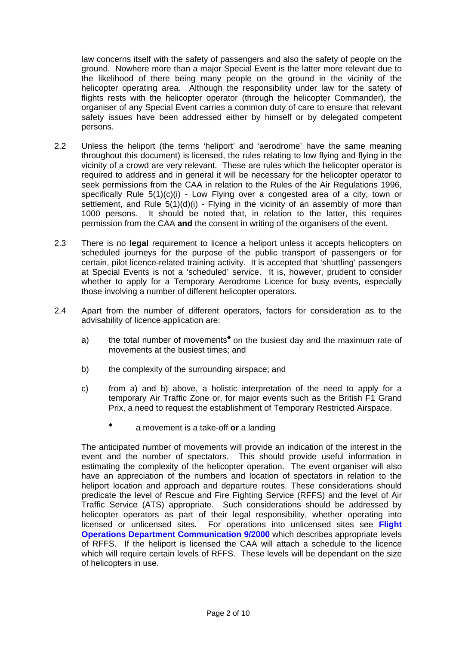law concerns itself with the safety of passengers and also the safety of people on the ground. Nowhere more than a major Special Event is the latter more relevant due to the likelihood of there being many people on the ground in the vicinity of the helicopter operating area. Although the responsibility under law for the safety of flights rests with the helicopter operator (through the helicopter Commander), the organiser of any Special Event carries a common duty of care to ensure that relevant safety issues have been addressed either by himself or by delegated competent persons.

- 2.2 Unless the heliport (the terms 'heliport' and 'aerodrome' have the same meaning throughout this document) is licensed, the rules relating to low flying and flying in the vicinity of a crowd are very relevant. These are rules which the helicopter operator is required to address and in general it will be necessary for the helicopter operator to seek permissions from the CAA in relation to the Rules of the Air Regulations 1996, specifically Rule 5(1)(c)(i) - Low Flying over a congested area of a city, town or settlement, and Rule  $5(1)(d)(i)$  - Flying in the vicinity of an assembly of more than 1000 persons. It should be noted that, in relation to the latter, this requires permission from the CAA **and** the consent in writing of the organisers of the event.
- 2.3 There is no **legal** requirement to licence a heliport unless it accepts helicopters on scheduled journeys for the purpose of the public transport of passengers or for certain, pilot licence-related training activity. It is accepted that 'shuttling' passengers at Special Events is not a 'scheduled' service. It is, however, prudent to consider whether to apply for a Temporary Aerodrome Licence for busy events, especially those involving a number of different helicopter operators.
- 2.4 Apart from the number of different operators, factors for consideration as to the advisability of licence application are:
	- a) the total number of movements<sup>+</sup> on the busiest day and the maximum rate of movements at the busiest times; and
	- b) the complexity of the surrounding airspace; and
	- c) from a) and b) above, a holistic interpretation of the need to apply for a temporary Air Traffic Zone or, for major events such as the British F1 Grand Prix, a need to request the establishment of Temporary Restricted Airspace.
		- ✙ a movement is a take-off **or** a landing

The anticipated number of movements will provide an indication of the interest in the event and the number of spectators. This should provide useful information in estimating the complexity of the helicopter operation. The event organiser will also have an appreciation of the numbers and location of spectators in relation to the heliport location and approach and departure routes. These considerations should predicate the level of Rescue and Fire Fighting Service (RFFS) and the level of Air Traffic Service (ATS) appropriate. Such considerations should be addressed by helicopter operators as part of their legal responsibility, whether operating into licensed or unlicensed sites. For operations into unlicensed sites see **[Flight](http://www.caa.co.uk/docs/33/FOD200009.pdf)  [Operations](http://www.caa.co.uk/docs/33/FOD200009.pdf) [Department Communication 9/2000](http://www.caa.co.uk/docs/33/FOD200009.pdf)** which describes appropriate levels of RFFS. If the heliport is licensed the CAA will attach a schedule to the licence which will require certain levels of RFFS. These levels will be dependant on the size of helicopters in use.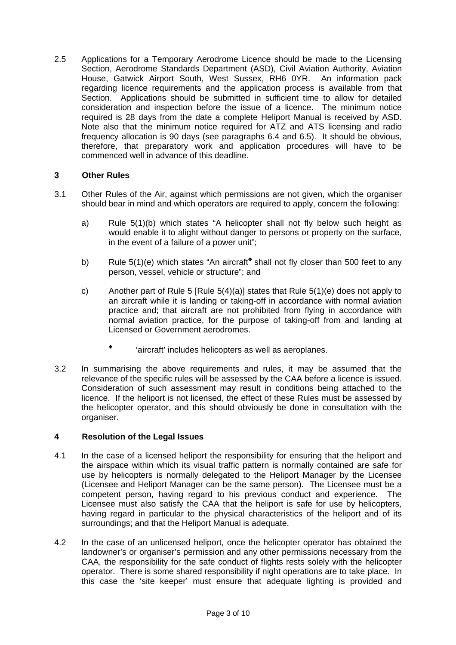2.5 Applications for a Temporary Aerodrome Licence should be made to the Licensing Section, Aerodrome Standards Department (ASD), Civil Aviation Authority, Aviation House, Gatwick Airport South, West Sussex, RH6 0YR. An information pack regarding licence requirements and the application process is available from that Section. Applications should be submitted in sufficient time to allow for detailed consideration and inspection before the issue of a licence. The minimum notice required is 28 days from the date a complete Heliport Manual is received by ASD. Note also that the minimum notice required for ATZ and ATS licensing and radio frequency allocation is 90 days (see paragraphs 6.4 and 6.5). It should be obvious, therefore, that preparatory work and application procedures will have to be commenced well in advance of this deadline.

## **3 Other Rules**

- 3.1 Other Rules of the Air, against which permissions are not given, which the organiser should bear in mind and which operators are required to apply, concern the following:
	- a) Rule 5(1)(b) which states "A helicopter shall not fly below such height as would enable it to alight without danger to persons or property on the surface, in the event of a failure of a power unit";
	- b) Rule 5(1)(e) which states "An aircraft" shall not fly closer than 500 feet to any person, vessel, vehicle or structure"; and
	- c) Another part of Rule 5 [Rule  $5(4)(a)$ ] states that Rule  $5(1)(e)$  does not apply to an aircraft while it is landing or taking-off in accordance with normal aviation practice and; that aircraft are not prohibited from flying in accordance with normal aviation practice, for the purpose of taking-off from and landing at Licensed or Government aerodromes.
		- ✙ 'aircraft' includes helicopters as well as aeroplanes.
- 3.2 In summarising the above requirements and rules, it may be assumed that the relevance of the specific rules will be assessed by the CAA before a licence is issued. Consideration of such assessment may result in conditions being attached to the licence. If the heliport is not licensed, the effect of these Rules must be assessed by the helicopter operator, and this should obviously be done in consultation with the organiser.

#### **4 Resolution of the Legal Issues**

- 4.1 In the case of a licensed heliport the responsibility for ensuring that the heliport and the airspace within which its visual traffic pattern is normally contained are safe for use by helicopters is normally delegated to the Heliport Manager by the Licensee (Licensee and Heliport Manager can be the same person). The Licensee must be a competent person, having regard to his previous conduct and experience. The Licensee must also satisfy the CAA that the heliport is safe for use by helicopters, having regard in particular to the physical characteristics of the heliport and of its surroundings; and that the Heliport Manual is adequate.
- 4.2 In the case of an unlicensed heliport, once the helicopter operator has obtained the landowner's or organiser's permission and any other permissions necessary from the CAA, the responsibility for the safe conduct of flights rests solely with the helicopter operator. There is some shared responsibility if night operations are to take place. In this case the 'site keeper' must ensure that adequate lighting is provided and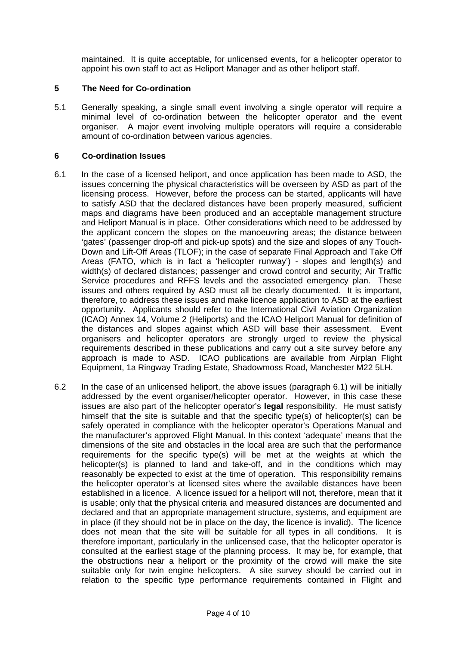maintained. It is quite acceptable, for unlicensed events, for a helicopter operator to appoint his own staff to act as Heliport Manager and as other heliport staff.

#### **5 The Need for Co-ordination**

5.1 Generally speaking, a single small event involving a single operator will require a minimal level of co-ordination between the helicopter operator and the event organiser. A major event involving multiple operators will require a considerable amount of co-ordination between various agencies.

#### **6 Co-ordination Issues**

- 6.1 In the case of a licensed heliport, and once application has been made to ASD, the issues concerning the physical characteristics will be overseen by ASD as part of the licensing process. However, before the process can be started, applicants will have to satisfy ASD that the declared distances have been properly measured, sufficient maps and diagrams have been produced and an acceptable management structure and Heliport Manual is in place. Other considerations which need to be addressed by the applicant concern the slopes on the manoeuvring areas; the distance between 'gates' (passenger drop-off and pick-up spots) and the size and slopes of any Touch-Down and Lift-Off Areas (TLOF); in the case of separate Final Approach and Take Off Areas (FATO, which is in fact a 'helicopter runway') - slopes and length(s) and width(s) of declared distances; passenger and crowd control and security; Air Traffic Service procedures and RFFS levels and the associated emergency plan. These issues and others required by ASD must all be clearly documented. It is important, therefore, to address these issues and make licence application to ASD at the earliest opportunity. Applicants should refer to the International Civil Aviation Organization (ICAO) Annex 14, Volume 2 (Heliports) and the ICAO Heliport Manual for definition of the distances and slopes against which ASD will base their assessment. Event organisers and helicopter operators are strongly urged to review the physical requirements described in these publications and carry out a site survey before any approach is made to ASD. ICAO publications are available from Airplan Flight Equipment, 1a Ringway Trading Estate, Shadowmoss Road, Manchester M22 5LH.
- 6.2 In the case of an unlicensed heliport, the above issues (paragraph 6.1) will be initially addressed by the event organiser/helicopter operator. However, in this case these issues are also part of the helicopter operator's **legal** responsibility. He must satisfy himself that the site is suitable and that the specific type(s) of helicopter(s) can be safely operated in compliance with the helicopter operator's Operations Manual and the manufacturer's approved Flight Manual. In this context 'adequate' means that the dimensions of the site and obstacles in the local area are such that the performance requirements for the specific type(s) will be met at the weights at which the helicopter(s) is planned to land and take-off, and in the conditions which may reasonably be expected to exist at the time of operation. This responsibility remains the helicopter operator's at licensed sites where the available distances have been established in a licence. A licence issued for a heliport will not, therefore, mean that it is usable; only that the physical criteria and measured distances are documented and declared and that an appropriate management structure, systems, and equipment are in place (if they should not be in place on the day, the licence is invalid). The licence does not mean that the site will be suitable for all types in all conditions. It is therefore important, particularly in the unlicensed case, that the helicopter operator is consulted at the earliest stage of the planning process. It may be, for example, that the obstructions near a heliport or the proximity of the crowd will make the site suitable only for twin engine helicopters. A site survey should be carried out in relation to the specific type performance requirements contained in Flight and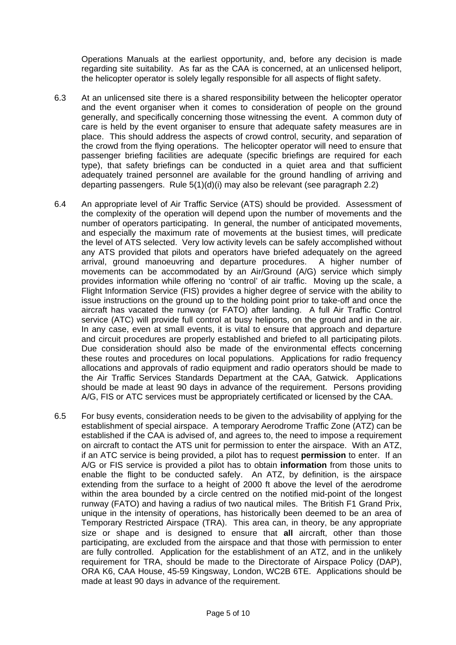Operations Manuals at the earliest opportunity, and, before any decision is made regarding site suitability. As far as the CAA is concerned, at an unlicensed heliport, the helicopter operator is solely legally responsible for all aspects of flight safety.

- 6.3 At an unlicensed site there is a shared responsibility between the helicopter operator and the event organiser when it comes to consideration of people on the ground generally, and specifically concerning those witnessing the event. A common duty of care is held by the event organiser to ensure that adequate safety measures are in place. This should address the aspects of crowd control, security, and separation of the crowd from the flying operations. The helicopter operator will need to ensure that passenger briefing facilities are adequate (specific briefings are required for each type), that safety briefings can be conducted in a quiet area and that sufficient adequately trained personnel are available for the ground handling of arriving and departing passengers. Rule  $5(1)(d)(i)$  may also be relevant (see paragraph 2.2)
- 6.4 An appropriate level of Air Traffic Service (ATS) should be provided. Assessment of the complexity of the operation will depend upon the number of movements and the number of operators participating. In general, the number of anticipated movements, and especially the maximum rate of movements at the busiest times, will predicate the level of ATS selected. Very low activity levels can be safely accomplished without any ATS provided that pilots and operators have briefed adequately on the agreed arrival, ground manoeuvring and departure procedures. A higher number of movements can be accommodated by an Air/Ground (A/G) service which simply provides information while offering no 'control' of air traffic. Moving up the scale, a Flight Information Service (FIS) provides a higher degree of service with the ability to issue instructions on the ground up to the holding point prior to take-off and once the aircraft has vacated the runway (or FATO) after landing. A full Air Traffic Control service (ATC) will provide full control at busy heliports, on the ground and in the air. In any case, even at small events, it is vital to ensure that approach and departure and circuit procedures are properly established and briefed to all participating pilots. Due consideration should also be made of the environmental effects concerning these routes and procedures on local populations. Applications for radio frequency allocations and approvals of radio equipment and radio operators should be made to the Air Traffic Services Standards Department at the CAA, Gatwick. Applications should be made at least 90 days in advance of the requirement. Persons providing A/G, FIS or ATC services must be appropriately certificated or licensed by the CAA.
- 6.5 For busy events, consideration needs to be given to the advisability of applying for the establishment of special airspace. A temporary Aerodrome Traffic Zone (ATZ) can be established if the CAA is advised of, and agrees to, the need to impose a requirement on aircraft to contact the ATS unit for permission to enter the airspace. With an ATZ, if an ATC service is being provided, a pilot has to request **permission** to enter. If an A/G or FIS service is provided a pilot has to obtain **information** from those units to enable the flight to be conducted safely. An ATZ, by definition, is the airspace extending from the surface to a height of 2000 ft above the level of the aerodrome within the area bounded by a circle centred on the notified mid-point of the longest runway (FATO) and having a radius of two nautical miles. The British F1 Grand Prix, unique in the intensity of operations, has historically been deemed to be an area of Temporary Restricted Airspace (TRA). This area can, in theory, be any appropriate size or shape and is designed to ensure that **all** aircraft, other than those participating, are excluded from the airspace and that those with permission to enter are fully controlled. Application for the establishment of an ATZ, and in the unlikely requirement for TRA, should be made to the Directorate of Airspace Policy (DAP), ORA K6, CAA House, 45-59 Kingsway, London, WC2B 6TE. Applications should be made at least 90 days in advance of the requirement.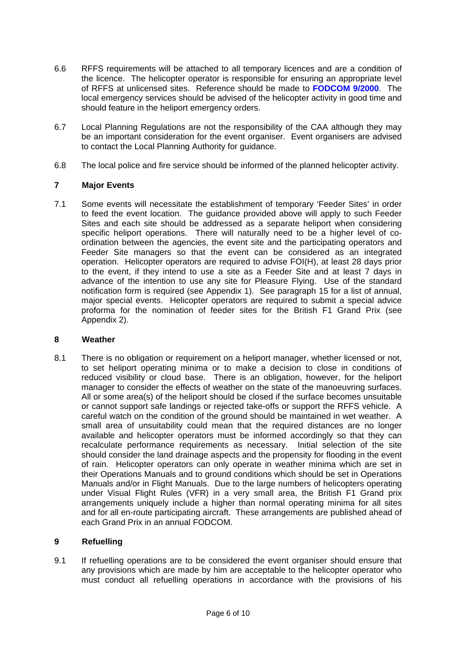- 6.6 RFFS requirements will be attached to all temporary licences and are a condition of the licence. The helicopter operator is responsible for ensuring an appropriate level of RFFS at unlicensed sites. Reference should be made to **[FODCOM 9/2000](http://www.caa.co.uk/docs/33/FOD200009.pdf)**. The local emergency services should be advised of the helicopter activity in good time and should feature in the heliport emergency orders.
- 6.7 Local Planning Regulations are not the responsibility of the CAA although they may be an important consideration for the event organiser. Event organisers are advised to contact the Local Planning Authority for guidance.
- 6.8 The local police and fire service should be informed of the planned helicopter activity.

#### **7 Major Events**

7.1 Some events will necessitate the establishment of temporary 'Feeder Sites' in order to feed the event location. The guidance provided above will apply to such Feeder Sites and each site should be addressed as a separate heliport when considering specific heliport operations. There will naturally need to be a higher level of coordination between the agencies, the event site and the participating operators and Feeder Site managers so that the event can be considered as an integrated operation. Helicopter operators are required to advise FOI(H), at least 28 days prior to the event, if they intend to use a site as a Feeder Site and at least 7 days in advance of the intention to use any site for Pleasure Flying. Use of the standard notification form is required (see Appendix 1). See paragraph 15 for a list of annual, major special events. Helicopter operators are required to submit a special advice proforma for the nomination of feeder sites for the British F1 Grand Prix (see Appendix 2).

#### **8 Weather**

8.1 There is no obligation or requirement on a heliport manager, whether licensed or not, to set heliport operating minima or to make a decision to close in conditions of reduced visibility or cloud base. There is an obligation, however, for the heliport manager to consider the effects of weather on the state of the manoeuvring surfaces. All or some area(s) of the heliport should be closed if the surface becomes unsuitable or cannot support safe landings or rejected take-offs or support the RFFS vehicle. A careful watch on the condition of the ground should be maintained in wet weather. A small area of unsuitability could mean that the required distances are no longer available and helicopter operators must be informed accordingly so that they can recalculate performance requirements as necessary. Initial selection of the site should consider the land drainage aspects and the propensity for flooding in the event of rain. Helicopter operators can only operate in weather minima which are set in their Operations Manuals and to ground conditions which should be set in Operations Manuals and/or in Flight Manuals. Due to the large numbers of helicopters operating under Visual Flight Rules (VFR) in a very small area, the British F1 Grand prix arrangements uniquely include a higher than normal operating minima for all sites and for all en-route participating aircraft. These arrangements are published ahead of each Grand Prix in an annual FODCOM.

## **9 Refuelling**

9.1 If refuelling operations are to be considered the event organiser should ensure that any provisions which are made by him are acceptable to the helicopter operator who must conduct all refuelling operations in accordance with the provisions of his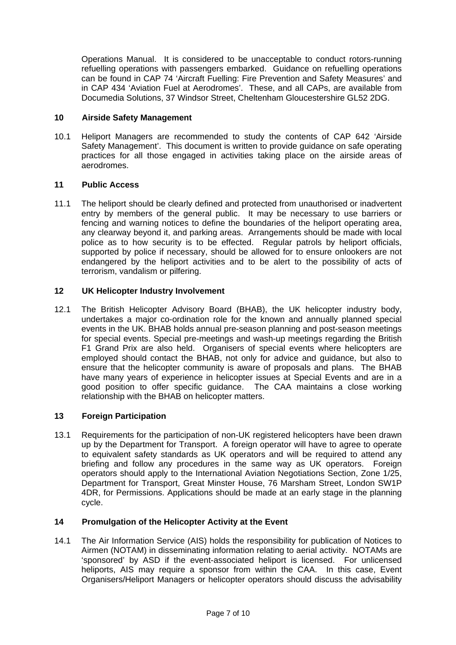Operations Manual. It is considered to be unacceptable to conduct rotors-running refuelling operations with passengers embarked. Guidance on refuelling operations can be found in CAP 74 'Aircraft Fuelling: Fire Prevention and Safety Measures' and in CAP 434 'Aviation Fuel at Aerodromes'. These, and all CAPs, are available from Documedia Solutions, 37 Windsor Street, Cheltenham Gloucestershire GL52 2DG.

## **10 Airside Safety Management**

10.1 Heliport Managers are recommended to study the contents of CAP 642 'Airside Safety Management'. This document is written to provide guidance on safe operating practices for all those engaged in activities taking place on the airside areas of aerodromes.

#### **11 Public Access**

11.1 The heliport should be clearly defined and protected from unauthorised or inadvertent entry by members of the general public. It may be necessary to use barriers or fencing and warning notices to define the boundaries of the heliport operating area, any clearway beyond it, and parking areas. Arrangements should be made with local police as to how security is to be effected. Regular patrols by heliport officials, supported by police if necessary, should be allowed for to ensure onlookers are not endangered by the heliport activities and to be alert to the possibility of acts of terrorism, vandalism or pilfering.

## **12 UK Helicopter Industry Involvement**

12.1 The British Helicopter Advisory Board (BHAB), the UK helicopter industry body, undertakes a major co-ordination role for the known and annually planned special events in the UK. BHAB holds annual pre-season planning and post-season meetings for special events. Special pre-meetings and wash-up meetings regarding the British F1 Grand Prix are also held. Organisers of special events where helicopters are employed should contact the BHAB, not only for advice and guidance, but also to ensure that the helicopter community is aware of proposals and plans. The BHAB have many years of experience in helicopter issues at Special Events and are in a good position to offer specific guidance. The CAA maintains a close working relationship with the BHAB on helicopter matters.

#### **13 Foreign Participation**

13.1 Requirements for the participation of non-UK registered helicopters have been drawn up by the Department for Transport. A foreign operator will have to agree to operate to equivalent safety standards as UK operators and will be required to attend any briefing and follow any procedures in the same way as UK operators. Foreign operators should apply to the International Aviation Negotiations Section, Zone 1/25, Department for Transport, Great Minster House, 76 Marsham Street, London SW1P 4DR, for Permissions. Applications should be made at an early stage in the planning cycle.

# **14 Promulgation of the Helicopter Activity at the Event**

14.1 The Air Information Service (AIS) holds the responsibility for publication of Notices to Airmen (NOTAM) in disseminating information relating to aerial activity. NOTAMs are 'sponsored' by ASD if the event-associated heliport is licensed. For unlicensed heliports, AIS may require a sponsor from within the CAA. In this case, Event Organisers/Heliport Managers or helicopter operators should discuss the advisability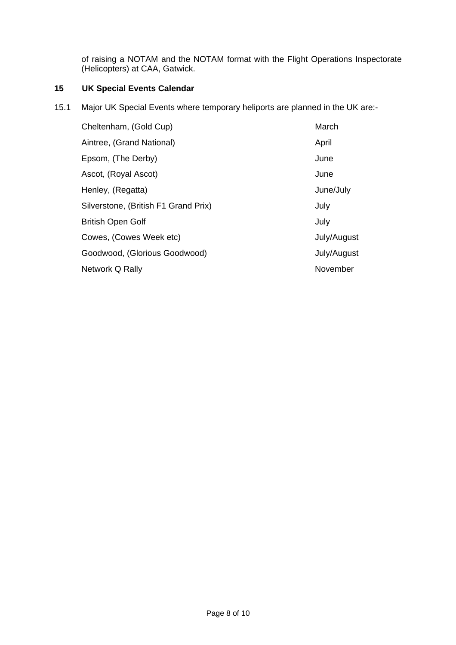of raising a NOTAM and the NOTAM format with the Flight Operations Inspectorate (Helicopters) at CAA, Gatwick.

# **15 UK Special Events Calendar**

15.1 Major UK Special Events where temporary heliports are planned in the UK are:-

| Cheltenham, (Gold Cup)               | March       |
|--------------------------------------|-------------|
| Aintree, (Grand National)            | April       |
| Epsom, (The Derby)                   | June        |
| Ascot, (Royal Ascot)                 | June        |
| Henley, (Regatta)                    | June/July   |
| Silverstone, (British F1 Grand Prix) | July        |
| <b>British Open Golf</b>             | July        |
| Cowes, (Cowes Week etc)              | July/August |
| Goodwood, (Glorious Goodwood)        | July/August |
| Network Q Rally                      | November    |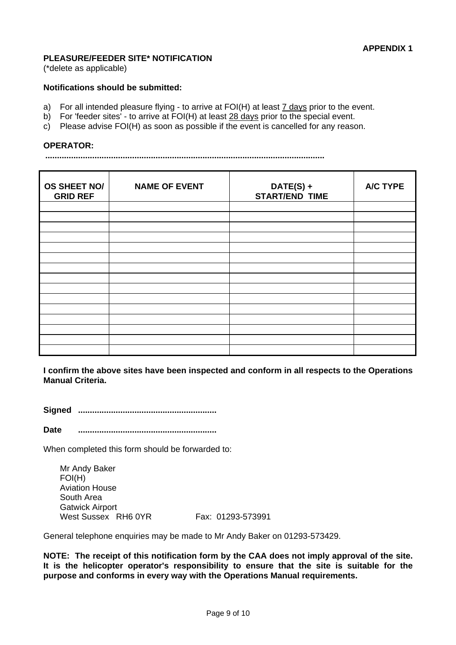#### **PLEASURE/FEEDER SITE\* NOTIFICATION**

(\*delete as applicable)

#### **Notifications should be submitted:**

- a) For all intended pleasure flying to arrive at FOI(H) at least 7 days prior to the event.
- b) For 'feeder sites' to arrive at FOI(H) at least 28 days prior to the special event.
- c) Please advise FOI(H) as soon as possible if the event is cancelled for any reason.

#### **OPERATOR:**

**.......................................................................................................................** 

| OS SHEET NO/<br><b>GRID REF</b> | <b>NAME OF EVENT</b> | DATE(S) +<br><b>START/END TIME</b> | A/C TYPE |
|---------------------------------|----------------------|------------------------------------|----------|
|                                 |                      |                                    |          |
|                                 |                      |                                    |          |
|                                 |                      |                                    |          |
|                                 |                      |                                    |          |
|                                 |                      |                                    |          |
|                                 |                      |                                    |          |
|                                 |                      |                                    |          |
|                                 |                      |                                    |          |
|                                 |                      |                                    |          |
|                                 |                      |                                    |          |
|                                 |                      |                                    |          |
|                                 |                      |                                    |          |
|                                 |                      |                                    |          |
|                                 |                      |                                    |          |
|                                 |                      |                                    |          |

**I confirm the above sites have been inspected and conform in all respects to the Operations Manual Criteria.** 

**Signed ...........................................................** 

**Date ...........................................................**

When completed this form should be forwarded to:

Mr Andy Baker FOI(H) Aviation House South Area Gatwick Airport West Sussex RH6 0YR Fax: 01293-573991

General telephone enquiries may be made to Mr Andy Baker on 01293-573429.

**NOTE: The receipt of this notification form by the CAA does not imply approval of the site. It is the helicopter operator's responsibility to ensure that the site is suitable for the purpose and conforms in every way with the Operations Manual requirements.**